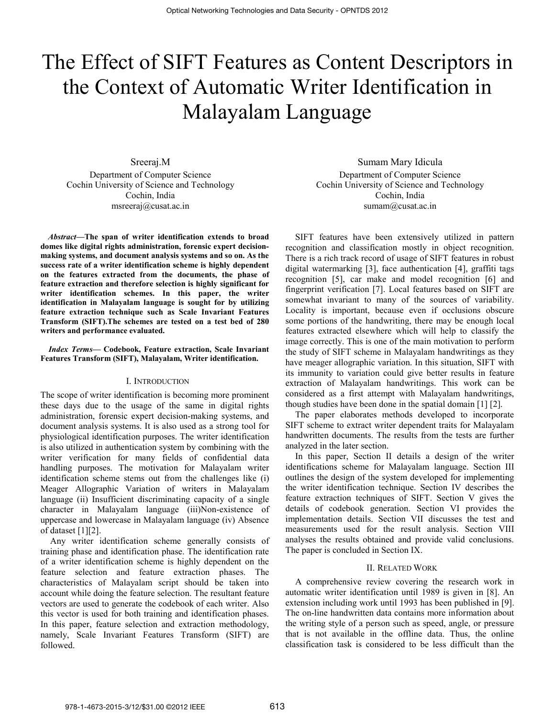# The Effect of SIFT Features as Content Descriptors in the Context of Automatic Writer Identification in Malayalam Language

Sreeraj.M Department of Computer Science Cochin University of Science and Technology Cochin, India msreeraj@cusat.ac.in

*Abstract***—The span of writer identification extends to broad domes like digital rights administration, forensic expert decisionmaking systems, and document analysis systems and so on. As the success rate of a writer identification scheme is highly dependent on the features extracted from the documents, the phase of feature extraction and therefore selection is highly significant for writer identification schemes. In this paper, the writer identification in Malayalam language is sought for by utilizing feature extraction technique such as Scale Invariant Features Transform (SIFT).The schemes are tested on a test bed of 280 writers and performance evaluated.**

#### *Index Terms***— Codebook, Feature extraction, Scale Invariant Features Transform (SIFT), Malayalam, Writer identification.**

## I. INTRODUCTION

The scope of writer identification is becoming more prominent these days due to the usage of the same in digital rights administration, forensic expert decision-making systems, and document analysis systems. It is also used as a strong tool for physiological identification purposes. The writer identification is also utilized in authentication system by combining with the writer verification for many fields of confidential data handling purposes. The motivation for Malayalam writer identification scheme stems out from the challenges like (i) Meager Allographic Variation of writers in Malayalam language (ii) Insufficient discriminating capacity of a single character in Malayalam language (iii)Non-existence of uppercase and lowercase in Malayalam language (iv) Absence of dataset  $[1][2]$ .

Any writer identification scheme generally consists of training phase and identification phase. The identification rate of a writer identification scheme is highly dependent on the feature selection and feature extraction phases. The characteristics of Malayalam script should be taken into account while doing the feature selection. The resultant feature vectors are used to generate the codebook of each writer. Also this vector is used for both training and identification phases. In this paper, feature selection and extraction methodology, namely, Scale Invariant Features Transform (SIFT) are followed.

Sumam Mary Idicula Department of Computer Science Cochin University of Science and Technology Cochin, India sumam@cusat.ac.in

SIFT features have been extensively utilized in pattern recognition and classification mostly in object recognition. There is a rich track record of usage of SIFT features in robust digital watermarking [3], face authentication [4], graffiti tags recognition [5], car make and model recognition [6] and fingerprint verification [7]. Local features based on SIFT are somewhat invariant to many of the sources of variability. Locality is important, because even if occlusions obscure some portions of the handwriting, there may be enough local features extracted elsewhere which will help to classify the image correctly. This is one of the main motivation to perform the study of SIFT scheme in Malayalam handwritings as they have meager allographic variation. In this situation, SIFT with its immunity to variation could give better results in feature extraction of Malayalam handwritings. This work can be considered as a first attempt with Malayalam handwritings, though studies have been done in the spatial domain [1] [2].

The paper elaborates methods developed to incorporate SIFT scheme to extract writer dependent traits for Malayalam handwritten documents. The results from the tests are further analyzed in the later section.

In this paper, Section II details a design of the writer identifications scheme for Malayalam language. Section III outlines the design of the system developed for implementing the writer identification technique. Section IV describes the feature extraction techniques of SIFT. Section V gives the details of codebook generation. Section VI provides the implementation details. Section VII discusses the test and measurements used for the result analysis. Section VIII analyses the results obtained and provide valid conclusions. The paper is concluded in Section IX.

#### II. RELATED WORK

A comprehensive review covering the research work in automatic writer identification until 1989 is given in [8]. An extension including work until 1993 has been published in [9]. The on-line handwritten data contains more information about the writing style of a person such as speed, angle, or pressure that is not available in the offline data. Thus, the online classification task is considered to be less difficult than the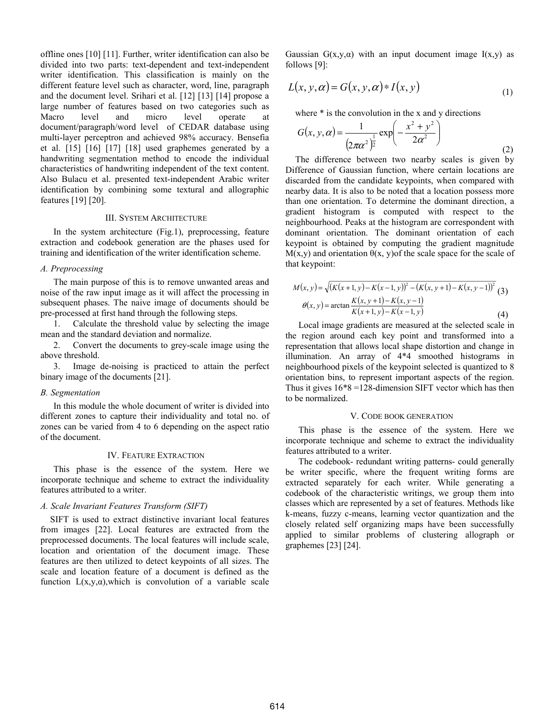offline ones [10] [11]. Further, writer identification can also be divided into two parts: text-dependent and text-independent writer identification. This classification is mainly on the different feature level such as character, word, line, paragraph and the document level. Srihari et al. [12] [13] [14] propose a large number of features based on two categories such as Macro level and micro level operate at document/paragraph/word level of CEDAR database using multi-layer perceptron and achieved 98% accuracy. Bensefia et al. [15] [16] [17] [18] used graphemes generated by a handwriting segmentation method to encode the individual characteristics of handwriting independent of the text content. Also Bulacu et al. presented text-independent Arabic writer identification by combining some textural and allographic features [19] [20].

## III. SYSTEM ARCHITECTURE

In the system architecture (Fig.1), preprocessing, feature extraction and codebook generation are the phases used for training and identification of the writer identification scheme.

# *A. Preprocessing*

The main purpose of this is to remove unwanted areas and noise of the raw input image as it will affect the processing in subsequent phases. The naive image of documents should be pre-processed at first hand through the following steps.

1. Calculate the threshold value by selecting the image mean and the standard deviation and normalize.

2. Convert the documents to grey-scale image using the above threshold.

3. Image de-noising is practiced to attain the perfect binary image of the documents [21].

# *B. Segmentation*

In this module the whole document of writer is divided into different zones to capture their individuality and total no. of zones can be varied from 4 to 6 depending on the aspect ratio of the document.

## IV. FEATURE EXTRACTION

This phase is the essence of the system. Here we incorporate technique and scheme to extract the individuality features attributed to a writer.

## *A. Scale Invariant Features Transform (SIFT)*

SIFT is used to extract distinctive invariant local features from images [22]. Local features are extracted from the preprocessed documents. The local features will include scale, location and orientation of the document image. These features are then utilized to detect keypoints of all sizes. The scale and location feature of a document is defined as the function  $L(x,y,\alpha)$ , which is convolution of a variable scale

Gaussian  $G(x,y,\alpha)$  with an input document image  $I(x,y)$  as follows [9]:

$$
L(x, y, \alpha) = G(x, y, \alpha) * I(x, y)
$$
\n<sup>(1)</sup>

where  $*$  is the convolution in the x and y directions

$$
G(x, y, \alpha) = \frac{1}{\left(2\pi\alpha^2\right)^{\frac{1}{2}}} \exp\left(-\frac{x^2 + y^2}{2\alpha^2}\right)
$$
\n<sup>(2)</sup>

The difference between two nearby scales is given by Difference of Gaussian function, where certain locations are discarded from the candidate keypoints, when compared with nearby data. It is also to be noted that a location possess more than one orientation. To determine the dominant direction, a gradient histogram is computed with respect to the neighbourhood. Peaks at the histogram are correspondent with dominant orientation. The dominant orientation of each keypoint is obtained by computing the gradient magnitude  $M(x,y)$  and orientation  $\theta(x, y)$  of the scale space for the scale of that keypoint:

$$
M(x, y) = \sqrt{(K(x + 1, y) - K(x - 1, y))^{2} - (K(x, y + 1) - K(x, y - 1))^{2}}
$$
  
\n
$$
\theta(x, y) = \arctan \frac{K(x, y + 1) - K(x, y - 1)}{K(x + 1, y) - K(x - 1, y)}
$$
\n(4)

Local image gradients are measured at the selected scale in the region around each key point and transformed into a representation that allows local shape distortion and change in illumination. An array of 4\*4 smoothed histograms in neighbourhood pixels of the keypoint selected is quantized to 8 orientation bins, to represent important aspects of the region. Thus it gives  $16*8 = 128$ -dimension SIFT vector which has then to be normalized.

#### V. CODE BOOK GENERATION

This phase is the essence of the system. Here we incorporate technique and scheme to extract the individuality features attributed to a writer.

The codebook- redundant writing patterns- could generally be writer specific, where the frequent writing forms are extracted separately for each writer. While generating a codebook of the characteristic writings, we group them into classes which are represented by a set of features. Methods like k-means, fuzzy c-means, learning vector quantization and the closely related self organizing maps have been successfully applied to similar problems of clustering allograph or graphemes [23] [24].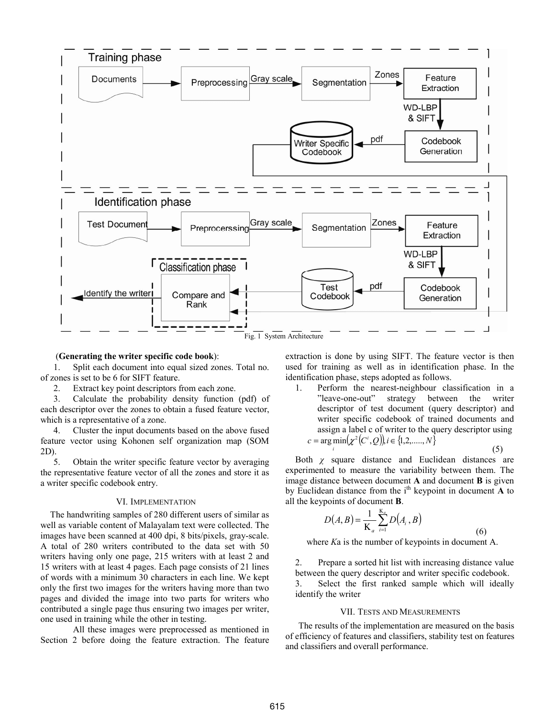

## (**Generating the writer specific code book**):

1. Split each document into equal sized zones. Total no. of zones is set to be 6 for SIFT feature.

2. Extract key point descriptors from each zone.

3. Calculate the probability density function (pdf) of each descriptor over the zones to obtain a fused feature vector, which is a representative of a zone.

4. Cluster the input documents based on the above fused feature vector using Kohonen self organization map (SOM 2D).

5. Obtain the writer specific feature vector by averaging the representative feature vector of all the zones and store it as a writer specific codebook entry.

#### VI. IMPLEMENTATION

The handwriting samples of 280 different users of similar as well as variable content of Malayalam text were collected. The images have been scanned at 400 dpi, 8 bits/pixels, gray-scale. A total of 280 writers contributed to the data set with 50 writers having only one page, 215 writers with at least 2 and 15 writers with at least 4 pages. Each page consists of 21 lines of words with a minimum 30 characters in each line. We kept only the first two images for the writers having more than two pages and divided the image into two parts for writers who contributed a single page thus ensuring two images per writer, one used in training while the other in testing.

 All these images were preprocessed as mentioned in Section 2 before doing the feature extraction. The feature extraction is done by using SIFT. The feature vector is then used for training as well as in identification phase. In the identification phase, steps adopted as follows.

1. Perform the nearest-neighbour classification in a "leave-one-out" strategy between the writer descriptor of test document (query descriptor) and writer specific codebook of trained documents and assign a label c of writer to the query descriptor using  $c = \arg\min_{i} \left( \chi^2 \left( C^i, Q \right) \right) , i \in \{1, 2, \dots, N\}$  (5)

Both *χ* square distance and Euclidean distances are experimented to measure the variability between them. The image distance between document **A** and document **B** is given by Euclidean distance from the  $i<sup>th</sup>$  keypoint in document **A** to all the keypoints of document **B**.

*i*

$$
D(A, B) = \frac{1}{K_a} \sum_{i=1}^{K_a} D(A_i, B)
$$
\n(6)

where *K*a is the number of keypoints in document A.

2. Prepare a sorted hit list with increasing distance value between the query descriptor and writer specific codebook. 3. Select the first ranked sample which will ideally identify the writer

#### VII. TESTS AND MEASUREMENTS

The results of the implementation are measured on the basis of efficiency of features and classifiers, stability test on features and classifiers and overall performance.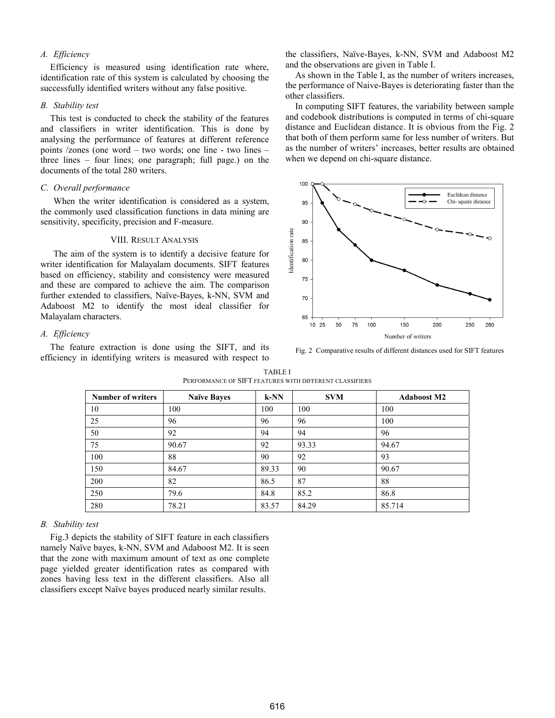# *A. Efficiency*

Efficiency is measured using identification rate where, identification rate of this system is calculated by choosing the successfully identified writers without any false positive.

## *B. Stability test*

This test is conducted to check the stability of the features and classifiers in writer identification. This is done by analysing the performance of features at different reference points /zones (one word – two words; one line - two lines – three lines – four lines; one paragraph; full page.) on the documents of the total 280 writers.

## *C. Overall performance*

When the writer identification is considered as a system, the commonly used classification functions in data mining are sensitivity, specificity, precision and F-measure.

## VIII. RESULT ANALYSIS

The aim of the system is to identify a decisive feature for writer identification for Malayalam documents. SIFT features based on efficiency, stability and consistency were measured and these are compared to achieve the aim. The comparison further extended to classifiers, Naïve-Bayes, k-NN, SVM and Adaboost M2 to identify the most ideal classifier for Malayalam characters.

## *A. Efficiency*

The feature extraction is done using the SIFT, and its efficiency in identifying writers is measured with respect to the classifiers, Naïve-Bayes, k-NN, SVM and Adaboost M2 and the observations are given in Table I.

As shown in the Table I, as the number of writers increases, the performance of Naive-Bayes is deteriorating faster than the other classifiers.

In computing SIFT features, the variability between sample and codebook distributions is computed in terms of chi-square distance and Euclidean distance. It is obvious from the Fig. 2 that both of them perform same for less number of writers. But as the number of writers' increases, better results are obtained when we depend on chi-square distance.



Fig. 2 Comparative results of different distances used for SIFT features

| <b>Number of writers</b> | <b>Naïve Bayes</b> | $k-NN$ | <b>SVM</b> | <b>Adaboost M2</b> |
|--------------------------|--------------------|--------|------------|--------------------|
| 10                       | 100                | 100    | 100        | 100                |
| 25                       | 96                 | 96     | 96         | 100                |
| 50                       | 92                 | 94     | 94         | 96                 |
| 75                       | 90.67              | 92     | 93.33      | 94.67              |
| 100                      | 88                 | 90     | 92         | 93                 |
| 150                      | 84.67              | 89.33  | 90         | 90.67              |
| 200                      | 82                 | 86.5   | 87         | 88                 |
| 250                      | 79.6               | 84.8   | 85.2       | 86.8               |
| 280                      | 78.21              | 83.57  | 84.29      | 85.714             |

TABLE I PERFORMANCE OF SIFT FEATURES WITH DIFFERENT CLASSIFIERS

## *B. Stability test*

Fig.3 depicts the stability of SIFT feature in each classifiers namely Naïve bayes, k-NN, SVM and Adaboost M2. It is seen that the zone with maximum amount of text as one complete page yielded greater identification rates as compared with zones having less text in the different classifiers. Also all classifiers except Naïve bayes produced nearly similar results.